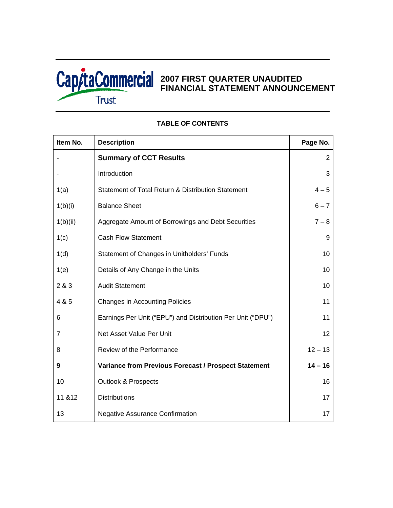

# **2007 FIRST QUARTER UNAUDITED FINANCIAL STATEMENT ANNOUNCEMENT**

| Item No. | <b>Description</b>                                          | Page No.        |
|----------|-------------------------------------------------------------|-----------------|
|          | <b>Summary of CCT Results</b>                               | $\overline{2}$  |
|          | Introduction                                                | 3               |
| 1(a)     | Statement of Total Return & Distribution Statement          | $4 - 5$         |
| 1(b)(i)  | <b>Balance Sheet</b>                                        | $6 - 7$         |
| 1(b)(ii) | Aggregate Amount of Borrowings and Debt Securities          | $7 - 8$         |
| 1(c)     | <b>Cash Flow Statement</b>                                  | 9               |
| 1(d)     | Statement of Changes in Unitholders' Funds                  | 10              |
| 1(e)     | Details of Any Change in the Units                          | 10 <sup>°</sup> |
| 2 & 3    | <b>Audit Statement</b>                                      | 10 <sup>°</sup> |
| 4 & 5    | <b>Changes in Accounting Policies</b>                       | 11              |
| 6        | Earnings Per Unit ("EPU") and Distribution Per Unit ("DPU") | 11              |
| 7        | Net Asset Value Per Unit                                    | 12 <sup>2</sup> |
| 8        | Review of the Performance                                   | $12 - 13$       |
| 9        | Variance from Previous Forecast / Prospect Statement        | $14 - 16$       |
| 10       | <b>Outlook &amp; Prospects</b>                              | 16              |
| 11 & 12  | <b>Distributions</b>                                        | 17              |
| 13       | <b>Negative Assurance Confirmation</b>                      | 17              |

# **TABLE OF CONTENTS**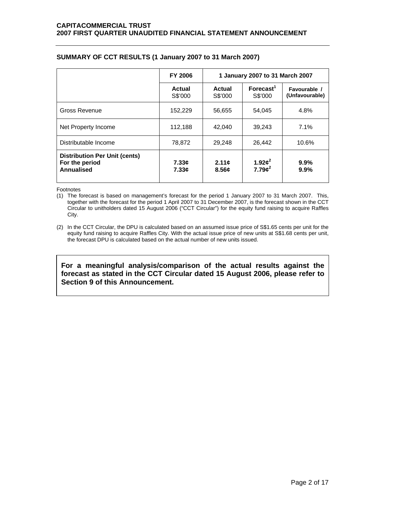|                                                                             | <b>FY 2006</b>    | 1 January 2007 to 31 March 2007 |                            |                                |
|-----------------------------------------------------------------------------|-------------------|---------------------------------|----------------------------|--------------------------------|
|                                                                             | Actual<br>S\$'000 | Actual<br>S\$'000               | $F$ orecast $1$<br>S\$'000 | Favourable /<br>(Unfavourable) |
| Gross Revenue                                                               | 152,229           | 56,655                          | 54.045                     | 4.8%                           |
| Net Property Income                                                         | 112,188           | 42.040                          | 39,243                     | 7.1%                           |
| Distributable Income                                                        | 78,872            | 29,248                          | 26,442                     | 10.6%                          |
| <b>Distribution Per Unit (cents)</b><br>For the period<br><b>Annualised</b> | 7.33c<br>7.33c    | 2.11c<br>8.56c                  | 1.92 $\phi^2$<br>$7.79c^2$ | 9.9%<br>9.9%                   |

# **SUMMARY OF CCT RESULTS (1 January 2007 to 31 March 2007)**

Footnotes

(1) The forecast is based on management's forecast for the period 1 January 2007 to 31 March 2007. This, together with the forecast for the period 1 April 2007 to 31 December 2007, is the forecast shown in the CCT Circular to unitholders dated 15 August 2006 ("CCT Circular") for the equity fund raising to acquire Raffles City.

(2) In the CCT Circular, the DPU is calculated based on an assumed issue price of S\$1.65 cents per unit for the equity fund raising to acquire Raffles City. With the actual issue price of new units at S\$1.68 cents per unit, the forecast DPU is calculated based on the actual number of new units issued.

**For a meaningful analysis/comparison of the actual results against the forecast as stated in the CCT Circular dated 15 August 2006, please refer to Section 9 of this Announcement.**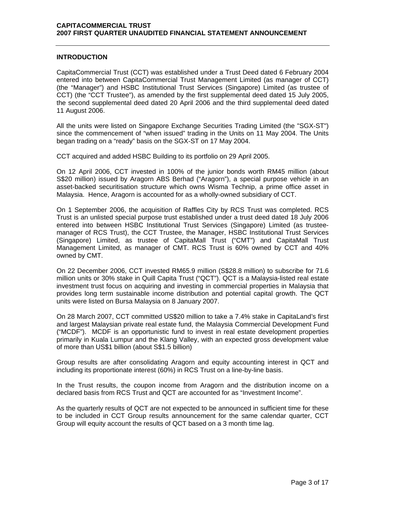## **INTRODUCTION**

CapitaCommercial Trust (CCT) was established under a Trust Deed dated 6 February 2004 entered into between CapitaCommercial Trust Management Limited (as manager of CCT) (the "Manager") and HSBC Institutional Trust Services (Singapore) Limited (as trustee of CCT) (the "CCT Trustee"), as amended by the first supplemental deed dated 15 July 2005, the second supplemental deed dated 20 April 2006 and the third supplemental deed dated 11 August 2006.

All the units were listed on Singapore Exchange Securities Trading Limited (the "SGX-ST") since the commencement of "when issued" trading in the Units on 11 May 2004. The Units began trading on a "ready" basis on the SGX-ST on 17 May 2004.

CCT acquired and added HSBC Building to its portfolio on 29 April 2005.

On 12 April 2006, CCT invested in 100% of the junior bonds worth RM45 million (about S\$20 million) issued by Aragorn ABS Berhad ("Aragorn"), a special purpose vehicle in an asset-backed securitisation structure which owns Wisma Technip, a prime office asset in Malaysia. Hence, Aragorn is accounted for as a wholly-owned subsidiary of CCT.

On 1 September 2006, the acquisition of Raffles City by RCS Trust was completed. RCS Trust is an unlisted special purpose trust established under a trust deed dated 18 July 2006 entered into between HSBC Institutional Trust Services (Singapore) Limited (as trusteemanager of RCS Trust), the CCT Trustee, the Manager, HSBC Institutional Trust Services (Singapore) Limited, as trustee of CapitaMall Trust ("CMT") and CapitaMall Trust Management Limited, as manager of CMT. RCS Trust is 60% owned by CCT and 40% owned by CMT.

On 22 December 2006, CCT invested RM65.9 million (S\$28.8 million) to subscribe for 71.6 million units or 30% stake in Quill Capita Trust ("QCT"). QCT is a Malaysia-listed real estate investment trust focus on acquiring and investing in commercial properties in Malaysia that provides long term sustainable income distribution and potential capital growth. The QCT units were listed on Bursa Malaysia on 8 January 2007.

On 28 March 2007, CCT committed US\$20 million to take a 7.4% stake in CapitaLand's first and largest Malaysian private real estate fund, the Malaysia Commercial Development Fund ("MCDF"). MCDF is an opportunistic fund to invest in real estate development properties primarily in Kuala Lumpur and the Klang Valley, with an expected gross development value of more than US\$1 billion (about S\$1.5 billion)

Group results are after consolidating Aragorn and equity accounting interest in QCT and including its proportionate interest (60%) in RCS Trust on a line-by-line basis.

In the Trust results, the coupon income from Aragorn and the distribution income on a declared basis from RCS Trust and QCT are accounted for as "Investment Income".

As the quarterly results of QCT are not expected to be announced in sufficient time for these to be included in CCT Group results announcement for the same calendar quarter, CCT Group will equity account the results of QCT based on a 3 month time lag.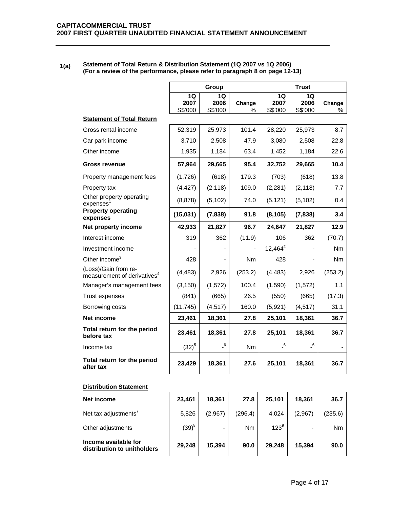### **1(a) Statement of Total Return & Distribution Statement (1Q 2007 vs 1Q 2006) (For a review of the performance, please refer to paragraph 8 on page 12-13)**

|                                                                 |                       | Group                      |             | <b>Trust</b>          |                            |             |
|-----------------------------------------------------------------|-----------------------|----------------------------|-------------|-----------------------|----------------------------|-------------|
|                                                                 | 1Q<br>2007<br>S\$'000 | 1Q<br>2006<br>S\$'000      | Change<br>℅ | 1Q<br>2007<br>S\$'000 | 1Q<br>2006<br>S\$'000      | Change<br>% |
| <b>Statement of Total Return</b>                                |                       |                            |             |                       |                            |             |
| Gross rental income                                             | 52,319                | 25,973                     | 101.4       | 28,220                | 25,973                     | 8.7         |
| Car park income                                                 | 3,710                 | 2,508                      | 47.9        | 3,080                 | 2,508                      | 22.8        |
| Other income                                                    | 1,935                 | 1,184                      | 63.4        | 1,452                 | 1,184                      | 22.6        |
| Gross revenue                                                   | 57,964                | 29,665                     | 95.4        | 32,752                | 29,665                     | 10.4        |
| Property management fees                                        | (1,726)               | (618)                      | 179.3       | (703)                 | (618)                      | 13.8        |
| Property tax                                                    | (4, 427)              | (2, 118)                   | 109.0       | (2, 281)              | (2, 118)                   | 7.7         |
| Other property operating<br>expenses                            | (8,878)               | (5, 102)                   | 74.0        | (5, 121)              | (5, 102)                   | 0.4         |
| <b>Property operating</b><br>expenses                           | (15,031)              | (7, 838)                   | 91.8        | (8, 105)              | (7,838)                    | 3.4         |
| Net property income                                             | 42,933                | 21,827                     | 96.7        | 24,647                | 21,827                     | 12.9        |
| Interest income                                                 | 319                   | 362                        | (11.9)      | 106                   | 362                        | (70.7)      |
| Investment income                                               |                       |                            |             | $12,464^2$            |                            | Nm          |
| Other income <sup>3</sup>                                       | 428                   |                            | Nm          | 428                   |                            | Nm          |
| (Loss)/Gain from re-<br>measurement of derivatives <sup>4</sup> | (4, 483)              | 2,926                      | (253.2)     | (4, 483)              | 2,926                      | (253.2)     |
| Manager's management fees                                       | (3, 150)              | (1, 572)                   | 100.4       | (1,590)               | (1, 572)                   | 1.1         |
| Trust expenses                                                  | (841)                 | (665)                      | 26.5        | (550)                 | (665)                      | (17.3)      |
| Borrowing costs                                                 | (11, 745)             | (4, 517)                   | 160.0       | (5,921)               | (4, 517)                   | 31.1        |
| <b>Net income</b>                                               | 23,461                | 18,361                     | 27.8        | 25,101                | 18,361                     | 36.7        |
| Total return for the period<br>before tax                       | 23,461                | 18,361                     | 27.8        | 25,101                | 18,361                     | 36.7        |
| Income tax                                                      | $(32)^{5}$            | $\overline{\phantom{0}}^6$ | Nm          | $\_6$                 | $\overline{\phantom{0}}^6$ |             |
| Total return for the period<br>after tax                        | 23,429                | 18,361                     | 27.6        | 25,101                | 18,361                     | 36.7        |

## **Distribution Statement**

| Net income                                          | 23,461   | 18.361  | 27.8      | 25.101    | 18,361  | 36.7      |
|-----------------------------------------------------|----------|---------|-----------|-----------|---------|-----------|
| Net tax adjustments <sup>7</sup>                    | 5,826    | (2,967) | (296.4)   | 4.024     | (2,967) | (235.6)   |
| Other adjustments                                   | $(39)^8$ | -       | <b>Nm</b> | $123^{9}$ |         | <b>Nm</b> |
| Income available for<br>distribution to unitholders | 29.248   | 15.394  | 90.0      | 29.248    | 15.394  | 90.0      |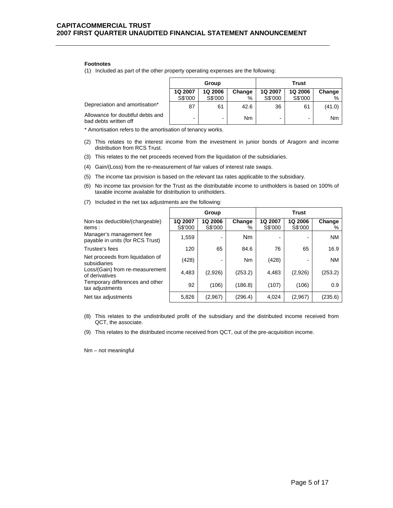#### **Footnotes**

(1) Included as part of the other property operating expenses are the following:

|                                                           | Group          |                |        | Trust   |                          |                |
|-----------------------------------------------------------|----------------|----------------|--------|---------|--------------------------|----------------|
|                                                           | <b>1Q 2007</b> | <b>1Q 2006</b> | Change | 1Q 2007 | <b>1Q 2006</b>           | Change         |
|                                                           | S\$'000        | S\$'000        | %      | S\$'000 | S\$'000                  | %              |
| Depreciation and amortisation*                            | 87             | 61             | 42.6   | 36      | 61                       | (41.0)         |
| Allowance for doubtful debts and<br>bad debts written off |                | -              | Nm     |         | $\overline{\phantom{0}}$ | N <sub>m</sub> |

\* Amortisation refers to the amortisation of tenancy works.

- (2) This relates to the interest income from the investment in junior bonds of Aragorn and income distribution from RCS Trust.
- (3) This relates to the net proceeds received from the liquidation of the subsidiaries.
- (4) Gain/(Loss) from the re-measurement of fair values of interest rate swaps.
- (5) The income tax provision is based on the relevant tax rates applicable to the subsidiary.
- (6) No income tax provision for the Trust as the distributable income to unitholders is based on 100% of taxable income available for distribution to unitholders.

|                                                              | Group              |                          |                | <b>Trust</b>       |                    |             |
|--------------------------------------------------------------|--------------------|--------------------------|----------------|--------------------|--------------------|-------------|
| Non-tax deductible/(chargeable)<br>items:                    | 1Q 2007<br>S\$'000 | 1Q 2006<br>S\$'000       | Change<br>%    | 1Q 2007<br>S\$'000 | 1Q 2006<br>S\$'000 | Change<br>% |
| Manager's management fee<br>payable in units (for RCS Trust) | 1,559              | $\overline{\phantom{0}}$ | N <sub>m</sub> |                    |                    | <b>NM</b>   |
| Trustee's fees                                               | 120                | 65                       | 84.6           | 76                 | 65                 | 16.9        |
| Net proceeds from liquidation of<br>subsidiaries             | (428)              | $\blacksquare$           | N <sub>m</sub> | (428)              |                    | <b>NM</b>   |
| Loss/(Gain) from re-measurement<br>of derivatives            | 4,483              | (2,926)                  | (253.2)        | 4,483              | (2,926)            | (253.2)     |
| Temporary differences and other<br>tax adjustments           | 92                 | (106)                    | (186.8)        | (107)              | (106)              | 0.9         |
| Net tax adjustments                                          | 5,826              | (2,967)                  | (296.4)        | 4,024              | (2,967)            | (235.6)     |

(7) Included in the net tax adjustments are the following:

- (8) This relates to the undistributed profit of the subsidiary and the distributed income received from QCT, the associate.
- (9) This relates to the distributed income received from QCT, out of the pre-acquisition income.

Nm – not meaningful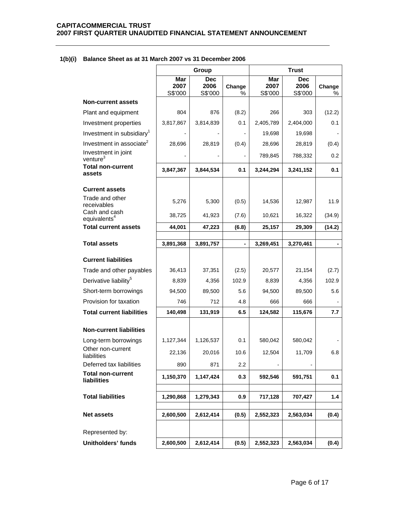|                                                | Group                  |                               |                | <b>Trust</b>           |                               |             |
|------------------------------------------------|------------------------|-------------------------------|----------------|------------------------|-------------------------------|-------------|
|                                                | Mar<br>2007<br>S\$'000 | <b>Dec</b><br>2006<br>S\$'000 | Change<br>$\%$ | Mar<br>2007<br>S\$'000 | <b>Dec</b><br>2006<br>S\$'000 | Change<br>% |
| <b>Non-current assets</b>                      |                        |                               |                |                        |                               |             |
| Plant and equipment                            | 804                    | 876                           | (8.2)          | 266                    | 303                           | (12.2)      |
| Investment properties                          | 3,817,867              | 3,814,839                     | 0.1            | 2,405,789              | 2,404,000                     | 0.1         |
| Investment in subsidiary <sup>1</sup>          |                        |                               |                | 19,698                 | 19,698                        |             |
| Investment in associate <sup>2</sup>           | 28,696                 | 28,819                        | (0.4)          | 28,696                 | 28,819                        | (0.4)       |
| Investment in joint<br>venture <sup>3</sup>    |                        |                               |                | 789,845                | 788,332                       | 0.2         |
| <b>Total non-current</b><br>assets             | 3,847,367              | 3,844,534                     | 0.1            | 3,244,294              | 3,241,152                     | 0.1         |
| <b>Current assets</b>                          |                        |                               |                |                        |                               |             |
| Trade and other<br>receivables                 | 5,276                  | 5,300                         | (0.5)          | 14,536                 | 12,987                        | 11.9        |
| Cash and cash<br>equivalents <sup>4</sup>      | 38,725                 | 41,923                        | (7.6)          | 10,621                 | 16,322                        | (34.9)      |
| <b>Total current assets</b>                    | 44,001                 | 47,223                        | (6.8)          | 25,157                 | 29,309                        | (14.2)      |
| <b>Total assets</b>                            | 3,891,368              | 3,891,757                     |                | 3,269,451              | 3,270,461                     |             |
|                                                |                        |                               |                |                        |                               |             |
| <b>Current liabilities</b>                     |                        |                               |                |                        |                               |             |
| Trade and other payables                       | 36,413                 | 37,351                        | (2.5)          | 20,577                 | 21,154                        | (2.7)       |
| Derivative liability <sup>5</sup>              | 8,839                  | 4,356                         | 102.9          | 8,839                  | 4,356                         | 102.9       |
| Short-term borrowings                          | 94,500                 | 89,500                        | 5.6            | 94,500                 | 89,500                        | 5.6         |
| Provision for taxation                         | 746                    | 712                           | 4.8            | 666                    | 666                           |             |
| <b>Total current liabilities</b>               | 140,498                | 131,919                       | 6.5            | 124,582                | 115,676                       | 7.7         |
| <b>Non-current liabilities</b>                 |                        |                               |                |                        |                               |             |
| Long-term borrowings                           | 1,127,344              | 1,126,537                     | 0.1            | 580,042                | 580,042                       |             |
| Other non-current<br>liabilities               | 22,136                 | 20,016                        | 10.6           | 12,504                 | 11,709                        | 6.8         |
| Deferred tax liabilities                       | 890                    | 871                           | 2.2            |                        |                               |             |
| <b>Total non-current</b><br><b>liabilities</b> | 1,150,370              | 1,147,424                     | 0.3            | 592,546                | 591,751                       | 0.1         |
| <b>Total liabilities</b>                       | 1,290,868              | 1,279,343                     | 0.9            | 717,128                | 707,427                       | 1.4         |
| <b>Net assets</b>                              | 2,600,500              | 2,612,414                     | (0.5)          | 2,552,323              | 2,563,034                     | (0.4)       |
| Represented by:                                |                        |                               |                |                        |                               |             |
| <b>Unitholders' funds</b>                      | 2,600,500              | 2,612,414                     | (0.5)          | 2,552,323              | 2,563,034                     | (0.4)       |

## **1(b)(i) Balance Sheet as at 31 March 2007 vs 31 December 2006**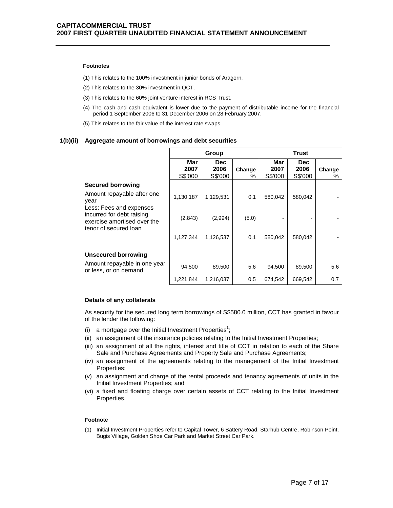#### **Footnotes**

- (1) This relates to the 100% investment in junior bonds of Aragorn.
- (2) This relates to the 30% investment in QCT.
- (3) This relates to the 60% joint venture interest in RCS Trust.
- (4) The cash and cash equivalent is lower due to the payment of distributable income for the financial period 1 September 2006 to 31 December 2006 on 28 February 2007.
- (5) This relates to the fair value of the interest rate swaps.

#### **1(b)(ii) Aggregate amount of borrowings and debt securities**

|                                                                                                              | Group                  |                         |             | Trust                  |                               |             |
|--------------------------------------------------------------------------------------------------------------|------------------------|-------------------------|-------------|------------------------|-------------------------------|-------------|
|                                                                                                              | Mar<br>2007<br>S\$'000 | Dec.<br>2006<br>S\$'000 | Change<br>% | Mar<br>2007<br>S\$'000 | <b>Dec</b><br>2006<br>S\$'000 | Change<br>% |
| <b>Secured borrowing</b>                                                                                     |                        |                         |             |                        |                               |             |
| Amount repayable after one<br>year                                                                           | 1,130,187              | 1,129,531               | 0.1         | 580,042                | 580,042                       |             |
| Less: Fees and expenses<br>incurred for debt raising<br>exercise amortised over the<br>tenor of secured loan | (2,843)                | (2,994)                 | (5.0)       |                        |                               |             |
|                                                                                                              | 1,127,344              | 1,126,537               | 0.1         | 580,042                | 580,042                       |             |
|                                                                                                              |                        |                         |             |                        |                               |             |
| <b>Unsecured borrowing</b>                                                                                   |                        |                         |             |                        |                               |             |
| Amount repayable in one year<br>or less, or on demand                                                        | 94,500                 | 89,500                  | 5.6         | 94,500                 | 89,500                        | 5.6         |
|                                                                                                              | 1,221,844              | 1,216,037               | 0.5         | 674,542                | 669,542                       | 0.7         |

#### **Details of any collaterals**

As security for the secured long term borrowings of S\$580.0 million, CCT has granted in favour of the lender the following:

- (i) a mortgage over the Initial Investment Properties<sup>1</sup>;
- (ii) an assignment of the insurance policies relating to the Initial Investment Properties;
- (iii) an assignment of all the rights, interest and title of CCT in relation to each of the Share Sale and Purchase Agreements and Property Sale and Purchase Agreements;
- (iv) an assignment of the agreements relating to the management of the Initial Investment Properties;
- (v) an assignment and charge of the rental proceeds and tenancy agreements of units in the Initial Investment Properties; and
- (vi) a fixed and floating charge over certain assets of CCT relating to the Initial Investment Properties.

#### **Footnote**

(1) Initial Investment Properties refer to Capital Tower, 6 Battery Road, Starhub Centre, Robinson Point, Bugis Village, Golden Shoe Car Park and Market Street Car Park.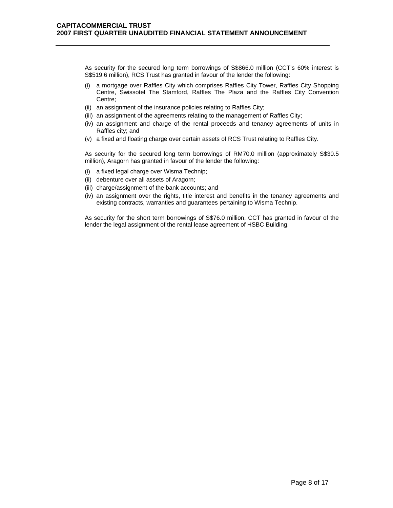As security for the secured long term borrowings of S\$866.0 million (CCT's 60% interest is S\$519.6 million), RCS Trust has granted in favour of the lender the following:

- (i) a mortgage over Raffles City which comprises Raffles City Tower, Raffles City Shopping Centre, Swissotel The Stamford, Raffles The Plaza and the Raffles City Convention Centre;
- (ii) an assignment of the insurance policies relating to Raffles City;
- (iii) an assignment of the agreements relating to the management of Raffles City;
- (iv) an assignment and charge of the rental proceeds and tenancy agreements of units in Raffles city; and
- (v) a fixed and floating charge over certain assets of RCS Trust relating to Raffles City.

As security for the secured long term borrowings of RM70.0 million (approximately S\$30.5 million), Aragorn has granted in favour of the lender the following:

- (i) a fixed legal charge over Wisma Technip;
- (ii) debenture over all assets of Aragorn;
- (iii) charge/assignment of the bank accounts; and
- (iv) an assignment over the rights, title interest and benefits in the tenancy agreements and existing contracts, warranties and guarantees pertaining to Wisma Technip.

As security for the short term borrowings of S\$76.0 million, CCT has granted in favour of the lender the legal assignment of the rental lease agreement of HSBC Building.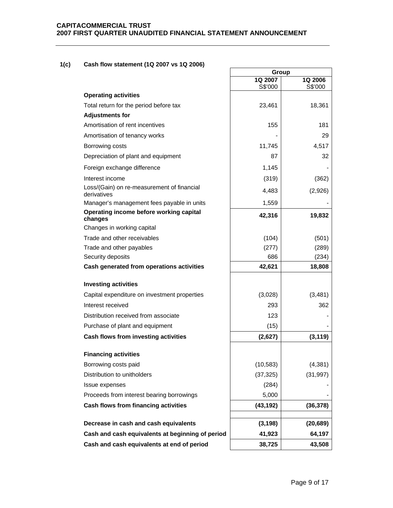## **1(c) Cash flow statement (1Q 2007 vs 1Q 2006)**

|                                                           |                                                  | Group              |                    |
|-----------------------------------------------------------|--------------------------------------------------|--------------------|--------------------|
|                                                           |                                                  | 1Q 2007<br>S\$'000 | 1Q 2006<br>S\$'000 |
| <b>Operating activities</b>                               |                                                  |                    |                    |
| Total return for the period before tax                    |                                                  | 23,461             | 18,361             |
| <b>Adjustments for</b>                                    |                                                  |                    |                    |
| Amortisation of rent incentives                           |                                                  | 155                | 181                |
| Amortisation of tenancy works                             |                                                  |                    | 29                 |
| Borrowing costs                                           |                                                  | 11,745             | 4,517              |
| Depreciation of plant and equipment                       |                                                  | 87                 | 32                 |
| Foreign exchange difference                               |                                                  | 1,145              |                    |
| Interest income                                           |                                                  | (319)              | (362)              |
| Loss/(Gain) on re-measurement of financial<br>derivatives |                                                  | 4,483              | (2,926)            |
| Manager's management fees payable in units                |                                                  | 1,559              |                    |
| Operating income before working capital<br>changes        |                                                  | 42,316             | 19,832             |
| Changes in working capital                                |                                                  |                    |                    |
| Trade and other receivables                               |                                                  | (104)              | (501)              |
| Trade and other payables                                  |                                                  | (277)              | (289)              |
| Security deposits                                         |                                                  | 686                | (234)              |
| Cash generated from operations activities                 |                                                  | 42,621             | 18,808             |
| <b>Investing activities</b>                               |                                                  |                    |                    |
| Capital expenditure on investment properties              |                                                  | (3,028)            | (3, 481)           |
| Interest received                                         |                                                  | 293                | 362                |
| Distribution received from associate                      |                                                  | 123                |                    |
| Purchase of plant and equipment                           |                                                  | (15)               |                    |
| Cash flows from investing activities                      |                                                  | (2,627)            | (3, 119)           |
| <b>Financing activities</b>                               |                                                  |                    |                    |
| Borrowing costs paid                                      |                                                  | (10, 583)          | (4, 381)           |
| Distribution to unitholders                               |                                                  | (37, 325)          | (31, 997)          |
| Issue expenses                                            |                                                  | (284)              |                    |
| Proceeds from interest bearing borrowings                 |                                                  | 5,000              |                    |
| Cash flows from financing activities                      |                                                  | (43, 192)          | (36, 378)          |
|                                                           |                                                  |                    |                    |
| Decrease in cash and cash equivalents                     |                                                  | (3, 198)           | (20, 689)          |
|                                                           | Cash and cash equivalents at beginning of period | 41,923             | 64,197             |
|                                                           | Cash and cash equivalents at end of period       | 38,725             | 43,508             |

┑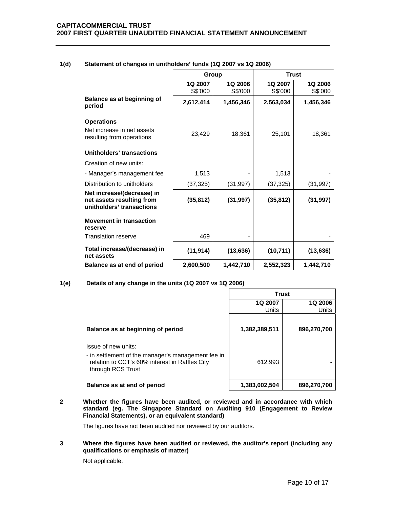|                                                                                      | Group              |                           | <b>Trust</b>       |                           |
|--------------------------------------------------------------------------------------|--------------------|---------------------------|--------------------|---------------------------|
|                                                                                      | 1Q 2007<br>S\$'000 | <b>1Q 2006</b><br>S\$'000 | 1Q 2007<br>S\$'000 | <b>1Q 2006</b><br>S\$'000 |
| Balance as at beginning of<br>period                                                 | 2,612,414          | 1,456,346                 | 2,563,034          | 1,456,346                 |
| <b>Operations</b>                                                                    |                    |                           |                    |                           |
| Net increase in net assets<br>resulting from operations                              | 23,429             | 18,361                    | 25,101             | 18,361                    |
| Unitholders' transactions                                                            |                    |                           |                    |                           |
| Creation of new units:                                                               |                    |                           |                    |                           |
| - Manager's management fee                                                           | 1,513              |                           | 1,513              |                           |
| Distribution to unitholders                                                          | (37, 325)          | (31, 997)                 | (37, 325)          | (31, 997)                 |
| Net increase/(decrease) in<br>net assets resulting from<br>unitholders' transactions | (35, 812)          | (31, 997)                 | (35, 812)          | (31, 997)                 |
| <b>Movement in transaction</b><br>reserve                                            |                    |                           |                    |                           |
| <b>Translation reserve</b>                                                           | 469                |                           |                    |                           |
| Total increase/(decrease) in<br>net assets                                           | (11, 914)          | (13, 636)                 | (10, 711)          | (13, 636)                 |
| Balance as at end of period                                                          | 2,600,500          | 1,442,710                 | 2,552,323          | 1,442,710                 |

## **1(d) Statement of changes in unitholders' funds (1Q 2007 vs 1Q 2006)**

### **1(e) Details of any change in the units (1Q 2007 vs 1Q 2006)**

|                                                                                                                                                  | <b>Trust</b>     |                         |  |  |
|--------------------------------------------------------------------------------------------------------------------------------------------------|------------------|-------------------------|--|--|
|                                                                                                                                                  | 1Q 2007<br>Units | <b>1Q 2006</b><br>Units |  |  |
| Balance as at beginning of period                                                                                                                | 1,382,389,511    | 896,270,700             |  |  |
| Issue of new units:<br>- in settlement of the manager's management fee in<br>relation to CCT's 60% interest in Raffles City<br>through RCS Trust | 612,993          |                         |  |  |
| Balance as at end of period                                                                                                                      | 1,383,002,504    | 896,270,700             |  |  |

**2 Whether the figures have been audited, or reviewed and in accordance with which standard (eg. The Singapore Standard on Auditing 910 (Engagement to Review Financial Statements), or an equivalent standard)** 

The figures have not been audited nor reviewed by our auditors.

**3 Where the figures have been audited or reviewed, the auditor's report (including any qualifications or emphasis of matter)** 

Not applicable.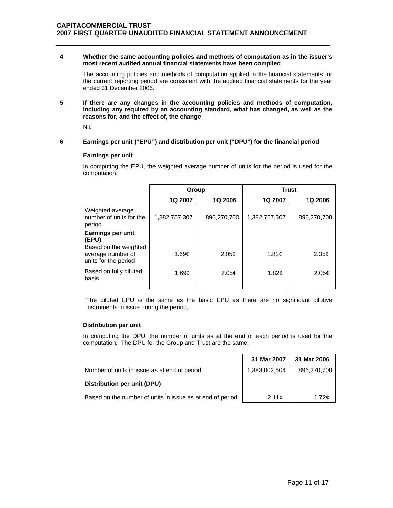### **4 Whether the same accounting policies and methods of computation as in the issuer's most recent audited annual financial statements have been complied**

The accounting policies and methods of computation applied in the financial statements for the current reporting period are consistent with the audited financial statements for the year ended 31 December 2006.

**5 If there are any changes in the accounting policies and methods of computation, including any required by an accounting standard, what has changed, as well as the reasons for, and the effect of, the change** 

Nil.

### **6 Earnings per unit ("EPU") and distribution per unit ("DPU") for the financial period**

### **Earnings per unit**

In computing the EPU, the weighted average number of units for the period is used for the computation.

|                                                                    | Group         |                   | <b>Trust</b>      |                   |
|--------------------------------------------------------------------|---------------|-------------------|-------------------|-------------------|
|                                                                    | 1Q 2007       | <b>1Q 2006</b>    | 1Q 2007           | <b>1Q 2006</b>    |
| Weighted average<br>number of units for the<br>period              | 1,382,757,307 | 896,270,700       | 1,382,757,307     | 896,270,700       |
| Earnings per unit<br>(EPU)                                         |               |                   |                   |                   |
| Based on the weighted<br>average number of<br>units for the period | 1.69c         | 2.05 <sub>c</sub> | 1.82c             | 2.05 <sub>c</sub> |
| Based on fully diluted<br>basis                                    | 1.69c         | 2.05 <sub>c</sub> | 1.82 <sub>c</sub> | 2.05 <sub>c</sub> |

The diluted EPU is the same as the basic EPU as there are no significant dilutive instruments in issue during the period.

### **Distribution per unit**

In computing the DPU, the number of units as at the end of each period is used for the computation. The DPU for the Group and Trust are the same.

|                                                           | 31 Mar 2007   | 31 Mar 2006 |
|-----------------------------------------------------------|---------------|-------------|
| Number of units in issue as at end of period              | 1,383,002,504 | 896,270,700 |
| Distribution per unit (DPU)                               |               |             |
| Based on the number of units in issue as at end of period | 2.11c         | 1.72c       |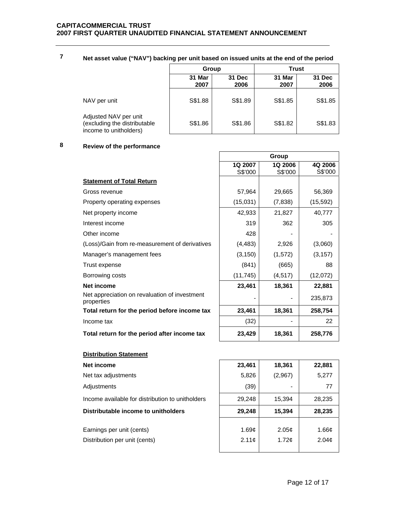|  | Net asset value ("NAV") backing per unit based on issued units at the end of the period |  |
|--|-----------------------------------------------------------------------------------------|--|
|--|-----------------------------------------------------------------------------------------|--|

|                                                                                 | Group          |                | <b>Trust</b>   |                |
|---------------------------------------------------------------------------------|----------------|----------------|----------------|----------------|
|                                                                                 | 31 Mar<br>2007 | 31 Dec<br>2006 | 31 Mar<br>2007 | 31 Dec<br>2006 |
| NAV per unit                                                                    | S\$1.88        | S\$1.89        | S\$1.85        | S\$1.85        |
| Adjusted NAV per unit<br>(excluding the distributable<br>income to unitholders) | S\$1.86        | S\$1.86        | S\$1.82        | S\$1.83        |

 $\overline{\Gamma}$ 

# **8 Review of the performance**

|                                                             |           | Group    |           |
|-------------------------------------------------------------|-----------|----------|-----------|
|                                                             | 1Q 2007   | 1Q 2006  | 4Q 2006   |
|                                                             | S\$'000   | S\$'000  | S\$'000   |
| <b>Statement of Total Return</b>                            |           |          |           |
| Gross revenue                                               | 57,964    | 29,665   | 56,369    |
| Property operating expenses                                 | (15,031)  | (7,838)  | (15, 592) |
| Net property income                                         | 42,933    | 21,827   | 40,777    |
| Interest income                                             | 319       | 362      | 305       |
| Other income                                                | 428       |          |           |
| (Loss)/Gain from re-measurement of derivatives              | (4, 483)  | 2,926    | (3,060)   |
| Manager's management fees                                   | (3, 150)  | (1, 572) | (3, 157)  |
| Trust expense                                               | (841)     | (665)    | 88        |
| Borrowing costs                                             | (11, 745) | (4, 517) | (12,072)  |
| <b>Net income</b>                                           | 23,461    | 18,361   | 22,881    |
| Net appreciation on revaluation of investment<br>properties |           |          | 235,873   |
| Total return for the period before income tax               | 23,461    | 18,361   | 258,754   |
| Income tax                                                  | (32)      |          | 22        |
| Total return for the period after income tax                | 23,429    | 18,361   | 258,776   |

# **Distribution Statement**

| Net income                                       | 23,461            | 18,361            | 22,881            |
|--------------------------------------------------|-------------------|-------------------|-------------------|
| Net tax adjustments                              | 5,826             | (2,967)           | 5,277             |
| Adjustments                                      | (39)              |                   | 77                |
| Income available for distribution to unitholders | 29,248            | 15,394            | 28,235            |
| Distributable income to unitholders              | 29,248            | 15,394            | 28,235            |
| Earnings per unit (cents)                        | 1.69c             | 2.05 <sub>c</sub> | 1.66c             |
| Distribution per unit (cents)                    | 2.11 <sub>c</sub> | 1.72 <sub>c</sub> | 2.04 <sub>c</sub> |
|                                                  |                   |                   |                   |

٦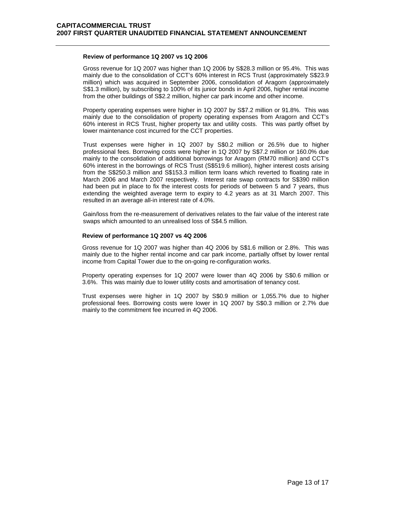### **Review of performance 1Q 2007 vs 1Q 2006**

 Gross revenue for 1Q 2007 was higher than 1Q 2006 by S\$28.3 million or 95.4%. This was mainly due to the consolidation of CCT's 60% interest in RCS Trust (approximately S\$23.9 million) which was acquired in September 2006, consolidation of Aragorn (approximately S\$1.3 million), by subscribing to 100% of its junior bonds in April 2006, higher rental income from the other buildings of S\$2.2 million, higher car park income and other income.

Property operating expenses were higher in 1Q 2007 by S\$7.2 million or 91.8%. This was mainly due to the consolidation of property operating expenses from Aragorn and CCT's 60% interest in RCS Trust, higher property tax and utility costs. This was partly offset by lower maintenance cost incurred for the CCT properties.

Trust expenses were higher in 1Q 2007 by S\$0.2 million or 26.5% due to higher professional fees. Borrowing costs were higher in 1Q 2007 by S\$7.2 million or 160.0% due mainly to the consolidation of additional borrowings for Aragorn (RM70 million) and CCT's 60% interest in the borrowings of RCS Trust (S\$519.6 million), higher interest costs arising from the S\$250.3 million and S\$153.3 million term loans which reverted to floating rate in March 2006 and March 2007 respectively. Interest rate swap contracts for S\$390 million had been put in place to fix the interest costs for periods of between 5 and 7 years, thus extending the weighted average term to expiry to 4.2 years as at 31 March 2007. This resulted in an average all-in interest rate of 4.0%.

Gain/loss from the re-measurement of derivatives relates to the fair value of the interest rate swaps which amounted to an unrealised loss of S\$4.5 million.

### **Review of performance 1Q 2007 vs 4Q 2006**

 Gross revenue for 1Q 2007 was higher than 4Q 2006 by S\$1.6 million or 2.8%. This was mainly due to the higher rental income and car park income, partially offset by lower rental income from Capital Tower due to the on-going re-configuration works.

Property operating expenses for 1Q 2007 were lower than 4Q 2006 by S\$0.6 million or 3.6%. This was mainly due to lower utility costs and amortisation of tenancy cost.

Trust expenses were higher in 1Q 2007 by S\$0.9 million or 1,055.7% due to higher professional fees. Borrowing costs were lower in 1Q 2007 by S\$0.3 million or 2.7% due mainly to the commitment fee incurred in 4Q 2006.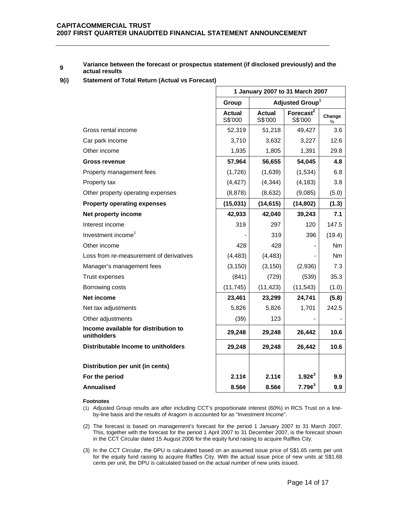#### **<sup>9</sup> Variance between the forecast or prospectus statement (if disclosed previously) and the actual results**

#### **9(i) Statement of Total Return (Actual vs Forecast)**

|                                                     | 1 January 2007 to 31 March 2007      |                   |                                  |             |
|-----------------------------------------------------|--------------------------------------|-------------------|----------------------------------|-------------|
|                                                     | Adjusted Group <sup>1</sup><br>Group |                   |                                  |             |
|                                                     | <b>Actual</b><br>S\$'000             | Actual<br>S\$'000 | Forecast <sup>2</sup><br>S\$'000 | Change<br>% |
| Gross rental income                                 | 52,319                               | 51,218            | 49,427                           | 3.6         |
| Car park income                                     | 3,710                                | 3,632             | 3,227                            | 12.6        |
| Other income                                        | 1,935                                | 1,805             | 1,391                            | 29.8        |
| <b>Gross revenue</b>                                | 57,964                               | 56,655            | 54,045                           | 4.8         |
| Property management fees                            | (1,726)                              | (1,639)           | (1,534)                          | 6.8         |
| Property tax                                        | (4, 427)                             | (4, 344)          | (4, 183)                         | 3.8         |
| Other property operating expenses                   | (8,878)                              | (8,632)           | (9,085)                          | (5.0)       |
| <b>Property operating expenses</b>                  | (15,031)                             | (14, 615)         | (14, 802)                        | (1.3)       |
| Net property income                                 | 42,933                               | 42,040            | 39,243                           | 7.1         |
| Interest income                                     | 319                                  | 297               | 120                              | 147.5       |
| Investment income <sup>1</sup>                      |                                      | 319               | 396                              | (19.4)      |
| Other income                                        | 428                                  | 428               | $\blacksquare$                   | Nm          |
| Loss from re-measurement of derivatives             | (4, 483)                             | (4, 483)          |                                  | Nm          |
| Manager's management fees                           | (3, 150)                             | (3, 150)          | (2,936)                          | 7.3         |
| <b>Trust expenses</b>                               | (841)                                | (729)             | (539)                            | 35.3        |
| Borrowing costs                                     | (11, 745)                            | (11, 423)         | (11, 543)                        | (1.0)       |
| Net income                                          | 23,461                               | 23,299            | 24,741                           | (5.8)       |
| Net tax adjustments                                 | 5,826                                | 5,826             | 1,701                            | 242.5       |
| Other adjustments                                   | (39)                                 | 123               |                                  |             |
| Income available for distribution to<br>unitholders | 29,248                               | 29,248            | 26,442                           | 10.6        |
| Distributable Income to unitholders                 | 29,248                               | 29,248            | 26,442                           | 10.6        |
| Distribution per unit (in cents)                    |                                      |                   |                                  |             |
| For the period                                      | 2.11c                                | 2.11c             | 1.92 $\boldsymbol{\phi}^3$       | 9.9         |
| <b>Annualised</b>                                   | 8.56¢                                | 8.56¢             | 7.79c <sup>3</sup>               | 9.9         |

#### **Footnotes**

- (1) Adjusted Group results are after including CCT's proportionate interest (60%) in RCS Trust on a lineby-line basis and the results of Aragorn is accounted for as "Investment Income".
- (2) The forecast is based on management's forecast for the period 1 January 2007 to 31 March 2007. This, together with the forecast for the period 1 April 2007 to 31 December 2007, is the forecast shown in the CCT Circular dated 15 August 2006 for the equity fund raising to acquire Raffles City.
- (3) In the CCT Circular, the DPU is calculated based on an assumed issue price of S\$1.65 cents per unit for the equity fund raising to acquire Raffles City. With the actual issue price of new units at S\$1.68 cents per unit, the DPU is calculated based on the actual number of new units issued.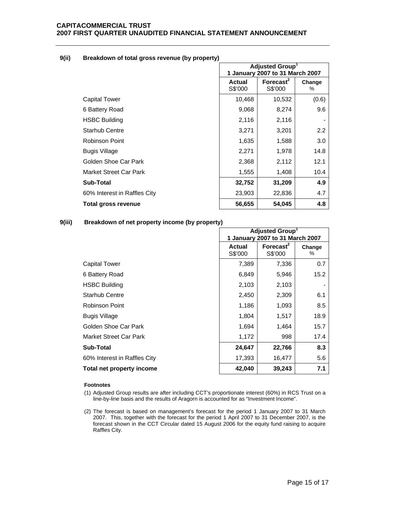| 9(ii) | Breakdown of total gross revenue (by property) |  |  |  |
|-------|------------------------------------------------|--|--|--|
|-------|------------------------------------------------|--|--|--|

|                              | Adjusted Group <sup>1</sup><br>1 January 2007 to 31 March 2007 |                                  |             |
|------------------------------|----------------------------------------------------------------|----------------------------------|-------------|
|                              | Actual<br>S\$'000                                              | Forecast <sup>2</sup><br>S\$'000 | Change<br>℅ |
| <b>Capital Tower</b>         | 10,468                                                         | 10,532                           | (0.6)       |
| 6 Battery Road               | 9,068                                                          | 8,274                            | 9.6         |
| <b>HSBC Building</b>         | 2,116                                                          | 2,116                            |             |
| <b>Starhub Centre</b>        | 3,271                                                          | 3,201                            | 2.2         |
| Robinson Point               | 1,635                                                          | 1,588                            | 3.0         |
| <b>Bugis Village</b>         | 2,271                                                          | 1,978                            | 14.8        |
| Golden Shoe Car Park         | 2,368                                                          | 2,112                            | 12.1        |
| Market Street Car Park       | 1,555                                                          | 1,408                            | 10.4        |
| Sub-Total                    | 32,752                                                         | 31,209                           | 4.9         |
| 60% Interest in Raffles City | 23,903                                                         | 22,836                           | 4.7         |
| Total gross revenue          | 56,655                                                         | 54,045                           | 4.8         |

## **9(iii) Breakdown of net property income (by property)**

|                              | Adjusted Group <sup>1</sup>     |              |        |
|------------------------------|---------------------------------|--------------|--------|
|                              | 1 January 2007 to 31 March 2007 |              |        |
|                              | <b>Actual</b>                   | Forecast $2$ | Change |
|                              | S\$'000                         | S\$'000      | %      |
| Capital Tower                | 7,389                           | 7,336        | 0.7    |
| 6 Battery Road               | 6,849                           | 5,946        | 15.2   |
| <b>HSBC Building</b>         | 2,103                           | 2,103        |        |
| <b>Starhub Centre</b>        | 2,450                           | 2,309        | 6.1    |
| Robinson Point               | 1,186                           | 1,093        | 8.5    |
| Bugis Village                | 1,804                           | 1,517        | 18.9   |
| Golden Shoe Car Park         | 1,694                           | 1,464        | 15.7   |
| Market Street Car Park       | 1,172                           | 998          | 17.4   |
| <b>Sub-Total</b>             | 24,647                          | 22,766       | 8.3    |
| 60% Interest in Raffles City | 17,393                          | 16,477       | 5.6    |
| Total net property income    | 42,040                          | 39,243       | 7.1    |

### **Footnotes**

- (1) Adjusted Group results are after including CCT's proportionate interest (60%) in RCS Trust on a line-by-line basis and the results of Aragorn is accounted for as "Investment Income".
- (2) The forecast is based on management's forecast for the period 1 January 2007 to 31 March 2007. This, together with the forecast for the period 1 April 2007 to 31 December 2007, is the forecast shown in the CCT Circular dated 15 August 2006 for the equity fund raising to acquire Raffles City.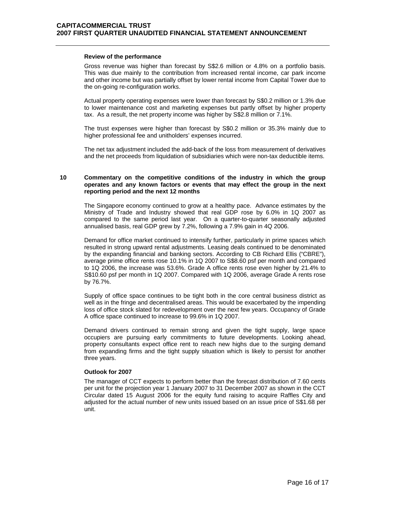#### **Review of the performance**

 Gross revenue was higher than forecast by S\$2.6 million or 4.8% on a portfolio basis. This was due mainly to the contribution from increased rental income, car park income and other income but was partially offset by lower rental income from Capital Tower due to the on-going re-configuration works.

Actual property operating expenses were lower than forecast by S\$0.2 million or 1.3% due to lower maintenance cost and marketing expenses but partly offset by higher property tax. As a result, the net property income was higher by S\$2.8 million or 7.1%.

The trust expenses were higher than forecast by S\$0.2 million or 35.3% mainly due to higher professional fee and unitholders' expenses incurred.

The net tax adjustment included the add-back of the loss from measurement of derivatives and the net proceeds from liquidation of subsidiaries which were non-tax deductible items.

### **10 Commentary on the competitive conditions of the industry in which the group operates and any known factors or events that may effect the group in the next reporting period and the next 12 months**

 The Singapore economy continued to grow at a healthy pace. Advance estimates by the Ministry of Trade and Industry showed that real GDP rose by 6.0% in 1Q 2007 as compared to the same period last year. On a quarter-to-quarter seasonally adjusted annualised basis, real GDP grew by 7.2%, following a 7.9% gain in 4Q 2006.

Demand for office market continued to intensify further, particularly in prime spaces which resulted in strong upward rental adjustments. Leasing deals continued to be denominated by the expanding financial and banking sectors. According to CB Richard Ellis ("CBRE"), average prime office rents rose 10.1% in 1Q 2007 to S\$8.60 psf per month and compared to 1Q 2006, the increase was 53.6%. Grade A office rents rose even higher by 21.4% to S\$10.60 psf per month in 1Q 2007. Compared with 1Q 2006, average Grade A rents rose by 76.7%.

Supply of office space continues to be tight both in the core central business district as well as in the fringe and decentralised areas. This would be exacerbated by the impending loss of office stock slated for redevelopment over the next few years. Occupancy of Grade A office space continued to increase to 99.6% in 1Q 2007.

Demand drivers continued to remain strong and given the tight supply, large space occupiers are pursuing early commitments to future developments. Looking ahead, property consultants expect office rent to reach new highs due to the surging demand from expanding firms and the tight supply situation which is likely to persist for another three years.

#### **Outlook for 2007**

 The manager of CCT expects to perform better than the forecast distribution of 7.60 cents per unit for the projection year 1 January 2007 to 31 December 2007 as shown in the CCT Circular dated 15 August 2006 for the equity fund raising to acquire Raffles City and adjusted for the actual number of new units issued based on an issue price of S\$1.68 per unit.